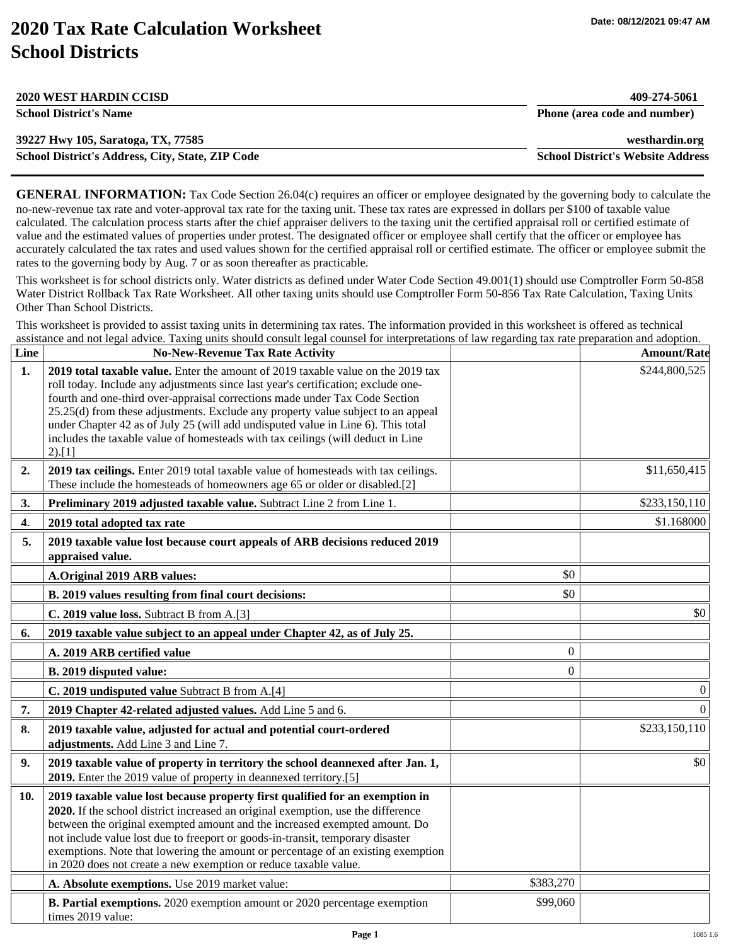## **2020 Tax Rate Calculation Worksheet School Districts**

| <b>2020 WEST HARDIN CCISD</b>                    | 409-274-5061                             |
|--------------------------------------------------|------------------------------------------|
| <b>School District's Name</b>                    | Phone (area code and number)             |
| 39227 Hwy 105, Saratoga, TX, 77585               | westhardin.org                           |
| School District's Address, City, State, ZIP Code | <b>School District's Website Address</b> |

**GENERAL INFORMATION:** Tax Code Section 26.04(c) requires an officer or employee designated by the governing body to calculate the no-new-revenue tax rate and voter-approval tax rate for the taxing unit. These tax rates are expressed in dollars per \$100 of taxable value calculated. The calculation process starts after the chief appraiser delivers to the taxing unit the certified appraisal roll or certified estimate of value and the estimated values of properties under protest. The designated officer or employee shall certify that the officer or employee has accurately calculated the tax rates and used values shown for the certified appraisal roll or certified estimate. The officer or employee submit the rates to the governing body by Aug. 7 or as soon thereafter as practicable.

This worksheet is for school districts only. Water districts as defined under Water Code Section 49.001(1) should use Comptroller Form 50-858 Water District Rollback Tax Rate Worksheet. All other taxing units should use Comptroller Form 50-856 Tax Rate Calculation, Taxing Units Other Than School Districts.

This worksheet is provided to assist taxing units in determining tax rates. The information provided in this worksheet is offered as technical assistance and not legal advice. Taxing units should consult legal counsel for interpretations of law regarding tax rate preparation and adoption.

| Line | <b>No-New-Revenue Tax Rate Activity</b>                                                                                                                                                                                                                                                                                                                                                                                                                                                                                   |                  | <b>Amount/Rate</b> |
|------|---------------------------------------------------------------------------------------------------------------------------------------------------------------------------------------------------------------------------------------------------------------------------------------------------------------------------------------------------------------------------------------------------------------------------------------------------------------------------------------------------------------------------|------------------|--------------------|
| 1.   | 2019 total taxable value. Enter the amount of 2019 taxable value on the 2019 tax<br>roll today. Include any adjustments since last year's certification; exclude one-<br>fourth and one-third over-appraisal corrections made under Tax Code Section<br>25.25(d) from these adjustments. Exclude any property value subject to an appeal<br>under Chapter 42 as of July 25 (will add undisputed value in Line 6). This total<br>includes the taxable value of homesteads with tax ceilings (will deduct in Line<br>2).[1] |                  | \$244,800,525      |
| 2.   | 2019 tax ceilings. Enter 2019 total taxable value of homesteads with tax ceilings.<br>These include the homesteads of homeowners age 65 or older or disabled.[2]                                                                                                                                                                                                                                                                                                                                                          |                  | \$11,650,415       |
| 3.   | Preliminary 2019 adjusted taxable value. Subtract Line 2 from Line 1.                                                                                                                                                                                                                                                                                                                                                                                                                                                     |                  | \$233,150,110      |
| 4.   | 2019 total adopted tax rate                                                                                                                                                                                                                                                                                                                                                                                                                                                                                               |                  | \$1.168000         |
| 5.   | 2019 taxable value lost because court appeals of ARB decisions reduced 2019<br>appraised value.                                                                                                                                                                                                                                                                                                                                                                                                                           |                  |                    |
|      | A.Original 2019 ARB values:                                                                                                                                                                                                                                                                                                                                                                                                                                                                                               | \$0              |                    |
|      | B. 2019 values resulting from final court decisions:                                                                                                                                                                                                                                                                                                                                                                                                                                                                      | \$0              |                    |
|      | C. 2019 value loss. Subtract B from A.[3]                                                                                                                                                                                                                                                                                                                                                                                                                                                                                 |                  | \$0                |
| 6.   | 2019 taxable value subject to an appeal under Chapter 42, as of July 25.                                                                                                                                                                                                                                                                                                                                                                                                                                                  |                  |                    |
|      | A. 2019 ARB certified value                                                                                                                                                                                                                                                                                                                                                                                                                                                                                               | $\theta$         |                    |
|      | B. 2019 disputed value:                                                                                                                                                                                                                                                                                                                                                                                                                                                                                                   | $\boldsymbol{0}$ |                    |
|      | C. 2019 undisputed value Subtract B from A.[4]                                                                                                                                                                                                                                                                                                                                                                                                                                                                            |                  | $\theta$           |
| 7.   | 2019 Chapter 42-related adjusted values. Add Line 5 and 6.                                                                                                                                                                                                                                                                                                                                                                                                                                                                |                  | $\Omega$           |
| 8.   | 2019 taxable value, adjusted for actual and potential court-ordered<br>adjustments. Add Line 3 and Line 7.                                                                                                                                                                                                                                                                                                                                                                                                                |                  | \$233,150,110      |
| 9.   | 2019 taxable value of property in territory the school deannexed after Jan. 1,<br>2019. Enter the 2019 value of property in deannexed territory.[5]                                                                                                                                                                                                                                                                                                                                                                       |                  | \$0                |
| 10.  | 2019 taxable value lost because property first qualified for an exemption in<br>2020. If the school district increased an original exemption, use the difference<br>between the original exempted amount and the increased exempted amount. Do<br>not include value lost due to freeport or goods-in-transit, temporary disaster<br>exemptions. Note that lowering the amount or percentage of an existing exemption<br>in 2020 does not create a new exemption or reduce taxable value.                                  |                  |                    |
|      | A. Absolute exemptions. Use 2019 market value:                                                                                                                                                                                                                                                                                                                                                                                                                                                                            | \$383,270        |                    |
|      | B. Partial exemptions. 2020 exemption amount or 2020 percentage exemption<br>times 2019 value:                                                                                                                                                                                                                                                                                                                                                                                                                            | \$99,060         |                    |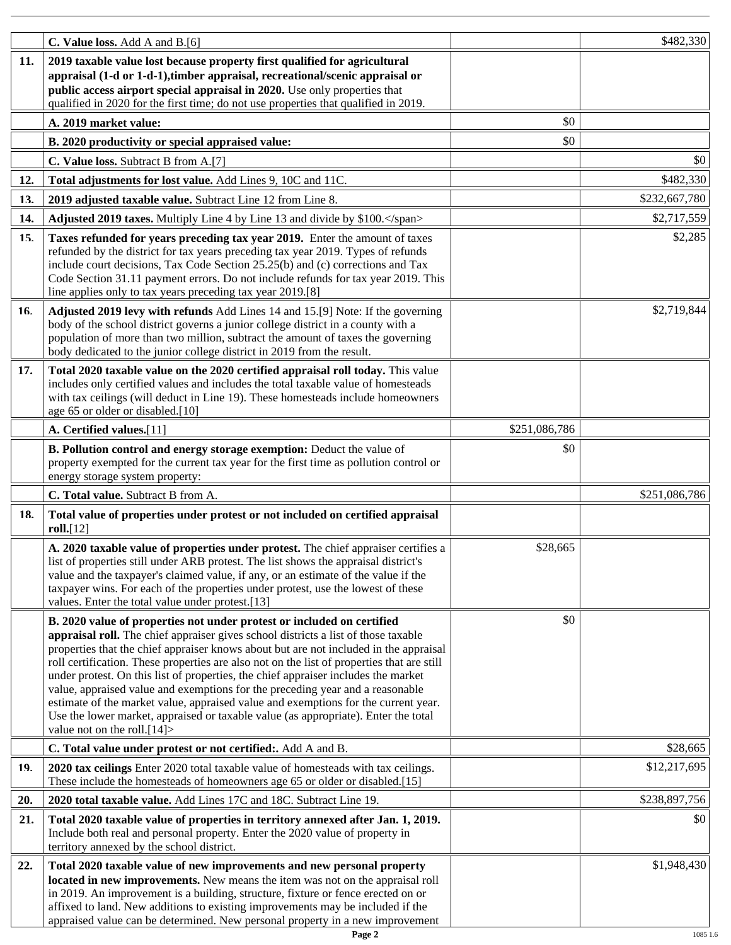|     | C. Value loss. Add A and B.[6]                                                                                                                                                                                                                                                                                                                                                                                                                                                                                                                                                                                                                                                                                                          |               | \$482,330     |
|-----|-----------------------------------------------------------------------------------------------------------------------------------------------------------------------------------------------------------------------------------------------------------------------------------------------------------------------------------------------------------------------------------------------------------------------------------------------------------------------------------------------------------------------------------------------------------------------------------------------------------------------------------------------------------------------------------------------------------------------------------------|---------------|---------------|
| 11. | 2019 taxable value lost because property first qualified for agricultural<br>appraisal (1-d or 1-d-1), timber appraisal, recreational/scenic appraisal or<br>public access airport special appraisal in 2020. Use only properties that<br>qualified in 2020 for the first time; do not use properties that qualified in 2019.                                                                                                                                                                                                                                                                                                                                                                                                           |               |               |
|     | A. 2019 market value:                                                                                                                                                                                                                                                                                                                                                                                                                                                                                                                                                                                                                                                                                                                   | \$0           |               |
|     | B. 2020 productivity or special appraised value:                                                                                                                                                                                                                                                                                                                                                                                                                                                                                                                                                                                                                                                                                        | \$0           |               |
|     | C. Value loss. Subtract B from A.[7]                                                                                                                                                                                                                                                                                                                                                                                                                                                                                                                                                                                                                                                                                                    |               | \$0           |
| 12. | Total adjustments for lost value. Add Lines 9, 10C and 11C.                                                                                                                                                                                                                                                                                                                                                                                                                                                                                                                                                                                                                                                                             |               | \$482,330     |
| 13. | 2019 adjusted taxable value. Subtract Line 12 from Line 8.                                                                                                                                                                                                                                                                                                                                                                                                                                                                                                                                                                                                                                                                              |               | \$232,667,780 |
| 14. | Adjusted 2019 taxes. Multiply Line 4 by Line 13 and divide by \$100.                                                                                                                                                                                                                                                                                                                                                                                                                                                                                                                                                                                                                                                                    |               | \$2,717,559   |
| 15. | Taxes refunded for years preceding tax year 2019. Enter the amount of taxes<br>refunded by the district for tax years preceding tax year 2019. Types of refunds<br>include court decisions, Tax Code Section 25.25(b) and (c) corrections and Tax<br>Code Section 31.11 payment errors. Do not include refunds for tax year 2019. This<br>line applies only to tax years preceding tax year 2019.[8]                                                                                                                                                                                                                                                                                                                                    |               | \$2,285       |
| 16. | Adjusted 2019 levy with refunds Add Lines 14 and 15.[9] Note: If the governing<br>body of the school district governs a junior college district in a county with a<br>population of more than two million, subtract the amount of taxes the governing<br>body dedicated to the junior college district in 2019 from the result.                                                                                                                                                                                                                                                                                                                                                                                                         |               | \$2,719,844   |
| 17. | Total 2020 taxable value on the 2020 certified appraisal roll today. This value<br>includes only certified values and includes the total taxable value of homesteads<br>with tax ceilings (will deduct in Line 19). These homesteads include homeowners<br>age 65 or older or disabled.[10]                                                                                                                                                                                                                                                                                                                                                                                                                                             |               |               |
|     | A. Certified values.[11]                                                                                                                                                                                                                                                                                                                                                                                                                                                                                                                                                                                                                                                                                                                | \$251,086,786 |               |
|     | B. Pollution control and energy storage exemption: Deduct the value of<br>property exempted for the current tax year for the first time as pollution control or<br>energy storage system property:                                                                                                                                                                                                                                                                                                                                                                                                                                                                                                                                      | \$0           |               |
|     | C. Total value. Subtract B from A.                                                                                                                                                                                                                                                                                                                                                                                                                                                                                                                                                                                                                                                                                                      |               | \$251,086,786 |
| 18. | Total value of properties under protest or not included on certified appraisal<br>roll.[12]                                                                                                                                                                                                                                                                                                                                                                                                                                                                                                                                                                                                                                             |               |               |
|     | A. 2020 taxable value of properties under protest. The chief appraiser certifies a<br>list of properties still under ARB protest. The list shows the appraisal district's<br>value and the taxpayer's claimed value, if any, or an estimate of the value if the<br>taxpayer wins. For each of the properties under protest, use the lowest of these<br>values. Enter the total value under protest.[13]                                                                                                                                                                                                                                                                                                                                 | \$28,665      |               |
|     | B. 2020 value of properties not under protest or included on certified<br>appraisal roll. The chief appraiser gives school districts a list of those taxable<br>properties that the chief appraiser knows about but are not included in the appraisal<br>roll certification. These properties are also not on the list of properties that are still<br>under protest. On this list of properties, the chief appraiser includes the market<br>value, appraised value and exemptions for the preceding year and a reasonable<br>estimate of the market value, appraised value and exemptions for the current year.<br>Use the lower market, appraised or taxable value (as appropriate). Enter the total<br>value not on the roll. $[14]$ | \$0           |               |
|     | C. Total value under protest or not certified:. Add A and B.                                                                                                                                                                                                                                                                                                                                                                                                                                                                                                                                                                                                                                                                            |               | \$28,665      |
| 19. | 2020 tax ceilings Enter 2020 total taxable value of homesteads with tax ceilings.<br>These include the homesteads of homeowners age 65 or older or disabled.[15]                                                                                                                                                                                                                                                                                                                                                                                                                                                                                                                                                                        |               | \$12,217,695  |
| 20. | 2020 total taxable value. Add Lines 17C and 18C. Subtract Line 19.                                                                                                                                                                                                                                                                                                                                                                                                                                                                                                                                                                                                                                                                      |               | \$238,897,756 |
| 21. | Total 2020 taxable value of properties in territory annexed after Jan. 1, 2019.<br>Include both real and personal property. Enter the 2020 value of property in<br>territory annexed by the school district.                                                                                                                                                                                                                                                                                                                                                                                                                                                                                                                            |               | \$0           |
| 22. | Total 2020 taxable value of new improvements and new personal property<br>located in new improvements. New means the item was not on the appraisal roll<br>in 2019. An improvement is a building, structure, fixture or fence erected on or<br>affixed to land. New additions to existing improvements may be included if the<br>appraised value can be determined. New personal property in a new improvement                                                                                                                                                                                                                                                                                                                          |               | \$1,948,430   |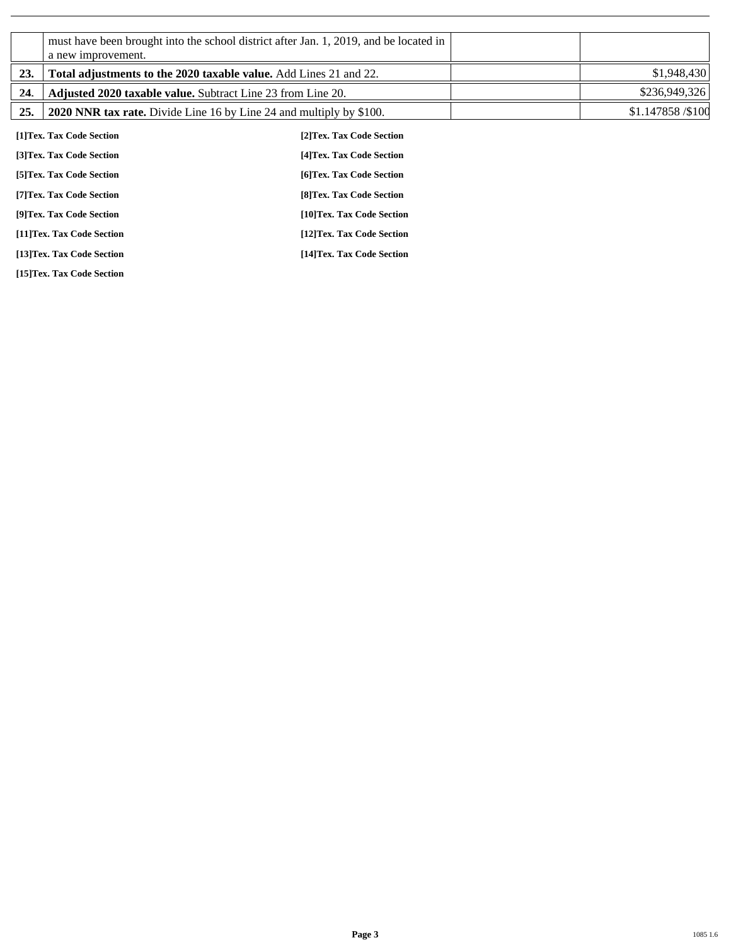|     | a new improvement.                                                  | must have been brought into the school district after Jan. 1, 2019, and be located in |                   |
|-----|---------------------------------------------------------------------|---------------------------------------------------------------------------------------|-------------------|
| 23. | Total adjustments to the 2020 taxable value. Add Lines 21 and 22.   |                                                                                       | \$1,948,430       |
| 24. | Adjusted 2020 taxable value. Subtract Line 23 from Line 20.         |                                                                                       | \$236,949,326     |
| 25. | 2020 NNR tax rate. Divide Line 16 by Line 24 and multiply by \$100. |                                                                                       | \$1.147858 /\$100 |
|     | [1]Tex. Tax Code Section                                            | [2] Tex. Tax Code Section                                                             |                   |
|     | [3]Tex. Tax Code Section                                            | [4] Tex. Tax Code Section                                                             |                   |
|     | [5] Tex. Tax Code Section                                           | [6]Tex. Tax Code Section                                                              |                   |
|     | [7] Tex. Tax Code Section                                           | [8] Tex. Tax Code Section                                                             |                   |
|     | [9]Tex. Tax Code Section                                            | [10]Tex. Tax Code Section                                                             |                   |
|     | [11]Tex. Tax Code Section                                           | [12]Tex. Tax Code Section                                                             |                   |
|     | [13]Tex. Tax Code Section                                           | [14]Tex. Tax Code Section                                                             |                   |

**[15]Tex. Tax Code Section**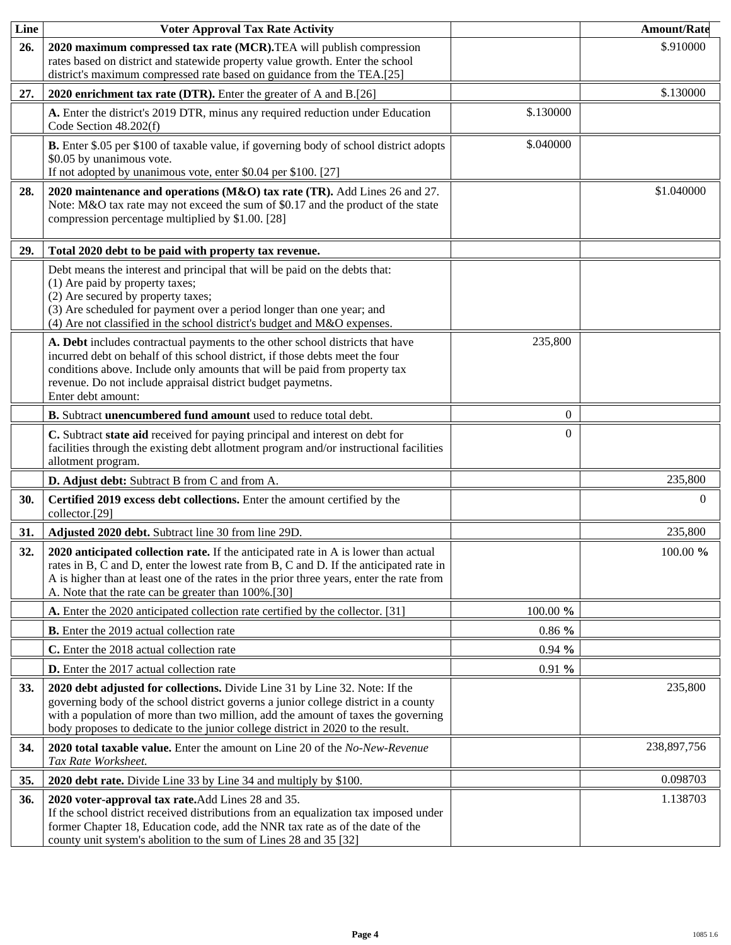| Line       | <b>Voter Approval Tax Rate Activity</b>                                                                                                                                                                                                                                                                                                    |                | <b>Amount/Rate</b> |
|------------|--------------------------------------------------------------------------------------------------------------------------------------------------------------------------------------------------------------------------------------------------------------------------------------------------------------------------------------------|----------------|--------------------|
| 26.        | 2020 maximum compressed tax rate (MCR). TEA will publish compression<br>rates based on district and statewide property value growth. Enter the school<br>district's maximum compressed rate based on guidance from the TEA.[25]                                                                                                            |                | \$.910000          |
| 27.        | 2020 enrichment tax rate (DTR). Enter the greater of A and B.[26]                                                                                                                                                                                                                                                                          |                | \$.130000          |
|            | A. Enter the district's 2019 DTR, minus any required reduction under Education<br>Code Section 48.202(f)                                                                                                                                                                                                                                   | \$.130000      |                    |
|            | <b>B.</b> Enter \$.05 per \$100 of taxable value, if governing body of school district adopts<br>\$0.05 by unanimous vote.<br>If not adopted by unanimous vote, enter \$0.04 per \$100. [27]                                                                                                                                               | \$.040000      |                    |
| 28.        | 2020 maintenance and operations (M&O) tax rate (TR). Add Lines 26 and 27.<br>Note: M&O tax rate may not exceed the sum of \$0.17 and the product of the state<br>compression percentage multiplied by \$1.00. [28]                                                                                                                         |                | \$1.040000         |
| 29.        | Total 2020 debt to be paid with property tax revenue.                                                                                                                                                                                                                                                                                      |                |                    |
|            | Debt means the interest and principal that will be paid on the debts that:<br>(1) Are paid by property taxes;<br>(2) Are secured by property taxes;<br>(3) Are scheduled for payment over a period longer than one year; and<br>(4) Are not classified in the school district's budget and M&O expenses.                                   |                |                    |
|            | A. Debt includes contractual payments to the other school districts that have<br>incurred debt on behalf of this school district, if those debts meet the four<br>conditions above. Include only amounts that will be paid from property tax<br>revenue. Do not include appraisal district budget paymetns.<br>Enter debt amount:          | 235,800        |                    |
|            | B. Subtract unencumbered fund amount used to reduce total debt.                                                                                                                                                                                                                                                                            | $\overline{0}$ |                    |
|            | C. Subtract state aid received for paying principal and interest on debt for<br>facilities through the existing debt allotment program and/or instructional facilities<br>allotment program.                                                                                                                                               | $\Omega$       |                    |
|            | D. Adjust debt: Subtract B from C and from A.                                                                                                                                                                                                                                                                                              |                | 235,800            |
| 30.        | Certified 2019 excess debt collections. Enter the amount certified by the<br>collector.[29]                                                                                                                                                                                                                                                |                | $\Omega$           |
| 31.        | Adjusted 2020 debt. Subtract line 30 from line 29D.                                                                                                                                                                                                                                                                                        |                | 235,800            |
| 32.        | 2020 anticipated collection rate. If the anticipated rate in A is lower than actual<br>rates in B, C and D, enter the lowest rate from B, C and D. If the anticipated rate in<br>A is higher than at least one of the rates in the prior three years, enter the rate from<br>A. Note that the rate can be greater than 100%.[30]           |                | 100.00 %           |
|            | A. Enter the 2020 anticipated collection rate certified by the collector. [31]                                                                                                                                                                                                                                                             | 100.00 %       |                    |
|            | <b>B.</b> Enter the 2019 actual collection rate                                                                                                                                                                                                                                                                                            | $0.86 \%$      |                    |
|            | C. Enter the 2018 actual collection rate                                                                                                                                                                                                                                                                                                   | $0.94\%$       |                    |
|            | <b>D.</b> Enter the 2017 actual collection rate                                                                                                                                                                                                                                                                                            | 0.91%          |                    |
| <b>33.</b> | 2020 debt adjusted for collections. Divide Line 31 by Line 32. Note: If the<br>governing body of the school district governs a junior college district in a county<br>with a population of more than two million, add the amount of taxes the governing<br>body proposes to dedicate to the junior college district in 2020 to the result. |                | 235,800            |
| 34.        | 2020 total taxable value. Enter the amount on Line 20 of the No-New-Revenue<br>Tax Rate Worksheet.                                                                                                                                                                                                                                         |                | 238,897,756        |
| 35.        | 2020 debt rate. Divide Line 33 by Line 34 and multiply by \$100.                                                                                                                                                                                                                                                                           |                | 0.098703           |
| 36.        | 2020 voter-approval tax rate. Add Lines 28 and 35.<br>If the school district received distributions from an equalization tax imposed under<br>former Chapter 18, Education code, add the NNR tax rate as of the date of the<br>county unit system's abolition to the sum of Lines 28 and 35 [32]                                           |                | 1.138703           |